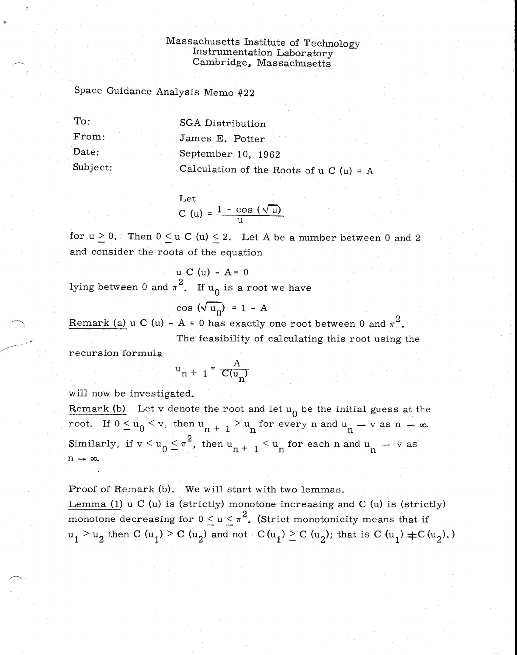## Massachusetts Institute of Technology Instrumentation Laboratory Cambridge, Massachusetts

Space Guidance Analysis Memo #22

To: SGA Distribution From: James E. Potter Date: September 10, 1962 Subject: Calculation of the Roots of  $u C(u) = A$ 

> Let  $C (u) = \frac{1 - \cos (\sqrt{u})}{u}$

for  $u \ge 0$ . Then  $0 \le u$  C (u)  $\le 2$ . Let A be a number between 0 and 2 and consider the roots of the equation

$$
u \ C (u) - A = 0.
$$
lying between 0 and  $\pi^2$ . If  $u_0$  is a root we have

$$
\cos\left(\sqrt{\mathbf{u}_0}\right) = 1 - A
$$

 ${\rm Remark~ (a)}$  u C (u) - A = 0 has exactly one root between 0 and  $\pi^2$ 

The feasibility of calculating this root using the

recursion formula

$$
u_{n+1} = \frac{A}{C(u_n)}
$$

will now be investigated.

Remark (b) Let v denote the root and let  $u_0$  be the initial guess at the root. If  $0 \le u_0 \le v$ , then  $u_{n+1} > u_n$  for every n and  $u_n \to v$  as  $n \to \infty$ . Similarly, if  $v < u_0 \le \pi^2$ , then  $u_{n+1} < u_n$  for each n and  $u_n \to v$  as  $n \rightarrow \infty$ .

Proof of Remark (b). We will start with two lemmas.

Lemma (1)  $u$  C ( $u$ ) is (strictly) monotone increasing and C ( $u$ ) is (strictly) monotone decreasing for  $0 \le u \le \pi^2$ . (Strict monotonicity means that if  $u_1 > u_2$  then C (u<sub>1</sub>) > C (u<sub>2</sub>) and not C (u<sub>1</sub>) > C (u<sub>2</sub>); that is C (u<sub>1</sub>)  $\pm$ C (u<sub>2</sub>).)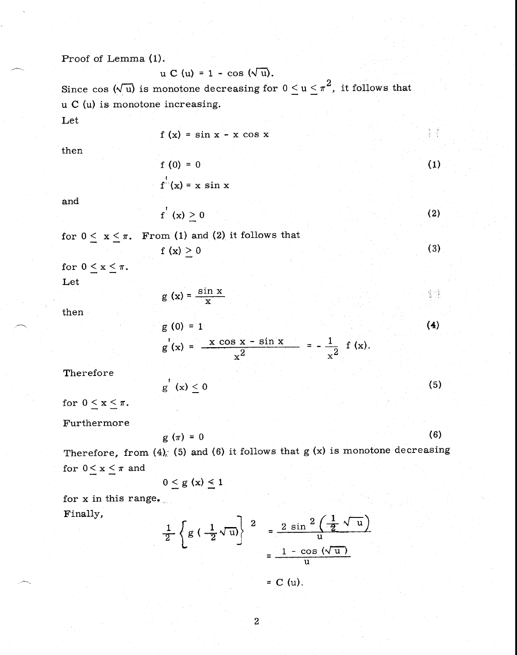Proof of Lemma (1).

$$
u C (u) = 1 - \cos (\sqrt{u}).
$$

Since cos  $(\sqrt{u})$  is monotone decreasing for  $0 \le u \le \pi^2$ , it follows that u C (u) is monotone increasing.

Let

$$
f(x) = \sin x - x \cos x
$$

then

and

$$
f^{1}(x) \geq 0 \tag{2}
$$

(1)

高速

for  $0 \le x \le \pi$ . From (1) and (2) it follows that  $f(x) \ge 0$  (3)

 $f(0) = 0$ 

 $f'(x) = x \sin x$ 

for  $0 \leq x \leq \pi$ .

Let

then

$$
g(x) = \frac{\sin x}{x}
$$
  
\n
$$
g(0) = 1
$$
  
\n
$$
g'(x) = \frac{x \cos x - \sin x}{2} = -\frac{1}{2} f(x).
$$
 (4)

Therefore

$$
g'(x) \leq 0 \tag{5}
$$

 $\frac{2}{x^2}$   $-\frac{1}{x^2}$   $(x)$ .

for  $0 \le x \le \pi$ .

Furthermore

$$
g(\pi) = 0 \tag{6}
$$

Therefore, from  $(4)$ ;  $(5)$  and  $(6)$  it follows that  $g(x)$  is monotone decreasing for  $0 \le x \le \pi$  and

$$
0\leq g\ (x)\leq 1
$$

for x in this range, Finally,

$$
\frac{1}{2} \left\{ g \left( \frac{1}{2} \sqrt{u} \right) \right\}^{2} = \frac{2 \sin^{2} \left( \frac{1}{2} \sqrt{u} \right)}{u}
$$

$$
= \frac{1 - \cos (\sqrt{u})}{u}
$$

$$
= C (u).
$$

 $\overline{a}$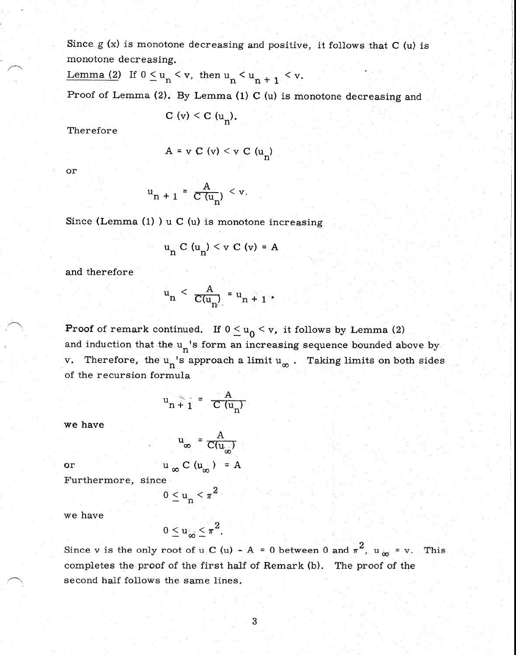Since  $g(x)$  is monotone decreasing and positive, it follows that C (u) is monotone decreasing.

Lemma (2) If  $0 \leq u_n < v$ , then  $u_n < u_{n+1} < v$ .

Proof of Lemma (2). By Lemma (1) C (u) is monotone decreasing and

C (v) < C (u<sub>n</sub>).

Therefore

$$
A = v C (v) < v C (u_n)
$$

or

$$
u_{n+1} = \frac{A}{C(u_n)} < v.
$$

Since (Lemma  $(1)$ ) u C  $(u)$  is monotone increasing

$$
u_n C (u_n) < v C (v) = A
$$

and therefore

$$
u_n < \frac{A}{C(u_n)} = u_{n+1} \, .
$$

**Proof** of remark continued. If  $0 \le u_0 < v$ , it follows by Lemma (2) and induction that the  $u_n$ 's form an increasing sequence bounded above by v. Therefore, the  $u_n$ 's approach a limit  $u_\infty$ . Taking limits on both sides of the recursion formula

$$
u_n \stackrel{\text{d}}{+} 1 = \frac{A}{C(u_n)}
$$

 $\mathbf{A}$  $C(u_{\alpha})$ 

we have

or 
$$
u_{\infty} C(u_{\infty}) = A
$$
  
Furthermore, since

 $0 \leq u_n \leq \pi^2$  $u_n$ 

we have

$$
0\leq u_{\infty}\leq \pi^2.
$$

Since v is the only root of  $u$  C (u) – A = 0 between 0 and  $\pi^2$ ,  $u_{\infty}$  = v. This completes the proof of the first half of Remark (b). The proof of the second half follows the same lines.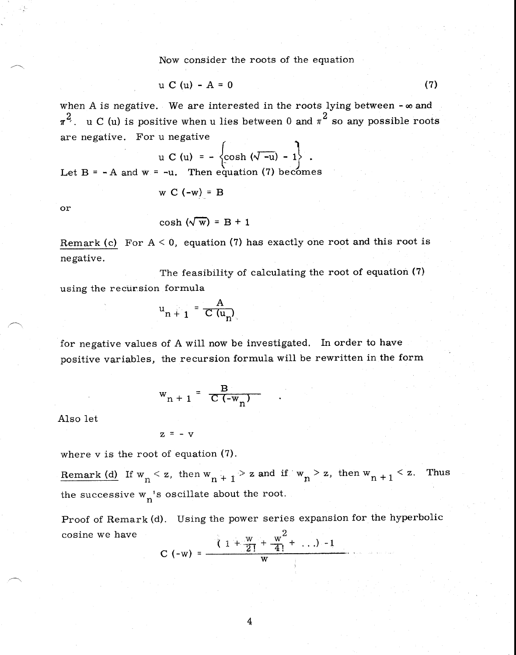Now consider the roots of the equation

$$
u C (u) - A = 0 \tag{7}
$$

when A is negative. We are interested in the roots lying between  $-\infty$  and  $\pi^2$ . u C (u) is positive when u lies between 0 and  $\pi^2$  so any possible roots are negative. For u negative

u C (u) = 
$$
-\left\{\cosh(\sqrt{-u}) - 1\right\}
$$
.

Let  $B = -A$  and  $w = -u$ . Then equation (7) becomes

$$
W C (-W) = B
$$

or

$$
\cosh(\sqrt{w}) = B + 1
$$

Remark (c) For  $A < 0$ , equation (7) has exactly one root and this root is negative.

The feasibility of calculating the root of equation (7) using the recursion formula

$$
\mathbf{u}_{n+1} = \frac{\mathbf{A}}{\mathbf{C}(\mathbf{u}_n)}
$$

for negative values of A will now be investigated. In order to have positive variables, the recursion formula will be rewritten in the form

$$
w_{n+1} = \frac{B}{C(-w_n)}
$$

Also let

 $z = -v$ 

where v is the root of equation (7).

Remark (d) If  $w_n < z$ , then  $w_{n+1} > z$  and if  $w_n > z$ , then  $w_{n+1} < z$ . Thus the successive  $w_n$ 's oscillate about the root.

Proof of Remark (d). Using the power series expansion for the hyperbolic cosine we have 2

C (-w) = 
$$
\frac{\sqrt{1 + \frac{w}{2!} + \frac{w^2}{4!} + \dots} - 1}{w}
$$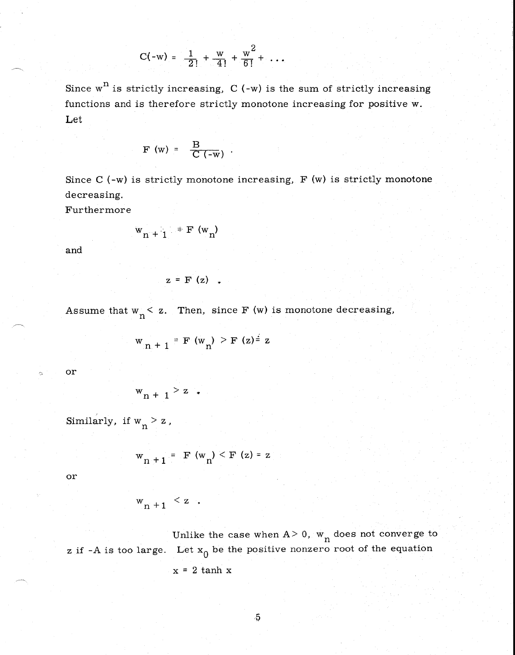$$
C(-w) = \frac{1}{2!} + \frac{w}{4!} + \frac{w^2}{6!} + \ldots
$$

Since  $w^n$  is strictly increasing,  $C$  (-w) is the sum of strictly increasing functions and is therefore strictly monotone increasing for positive w. Let

$$
F(w) = \frac{B}{C(-w)}.
$$

Since  $C$  (-w) is strictly monotone increasing,  $F(w)$  is strictly monotone decreasing.

Furthermore

$$
w_{n+1} = F(w_n)
$$

and

$$
z = F(z) .
$$

Assume that  $w_n < z$ . Then, since F (w) is monotone decreasing,

$$
w_{n+1} = F(w_n) > F(z) = z
$$

or

$$
w_{n+1} > z
$$

Similarly, if  $w_n > z$ ,

$$
w_{n+1} = F(w_n) < F(z) = z
$$

or

$$
w_{n+1} < z \quad .
$$

Unlike the case when  $A > 0$ ,  $w_n$  does not converge to z if -A is too large. Let  $x_0$  be the positive nonzero root of the equation  $x = 2$  tanh  $x$ 

$$
\overline{5}
$$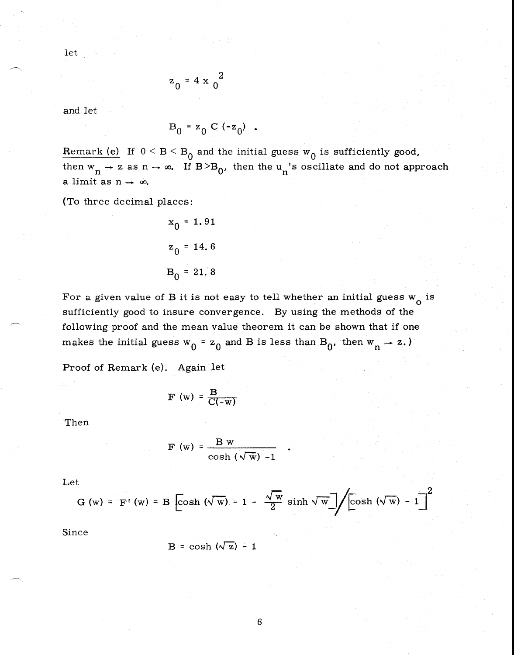let

$$
z_0 = 4 \times \frac{2}{0}
$$

and let

$$
B_0 = z_0 C (-z_0)
$$
.

Remark (e) If  $0 < B < B_0$  and the initial guess  $w_0$  is sufficiently good, then  $w_n \to z$  as  $n \to \infty$ . If  $B > B_0$ , then the  $u_n$ 's oscillate and do not approach a limit as  $n \rightarrow \infty$ .

(To three decimal places:

$$
x_0 = 1.91
$$
  

$$
z_0 = 14.6
$$
  

$$
B_0 = 21.8
$$

For a given value of B it is not easy to tell whether an initial guess  $w^{\phantom{\dagger}}_{\mathbf{O}}$  is sufficiently good to insure convergence. By using the methods of the following proof and the mean value theorem it can be shown that if one makes the initial guess  $w_0 = z_0$  and B is less than  $B_0$ , then  $w_n \rightarrow z$ .)

Proof of Remark (e). Again let

$$
F(w) = \frac{B}{C(-w)}
$$

Then

$$
F(w) = \frac{B w}{\cosh(\sqrt{w}) - 1}
$$

Let

$$
G(w) = F'(w) = B \left[ \cosh(\sqrt{w}) - 1 - \frac{\sqrt{w}}{2} \sinh \sqrt{w} \right] / \left[ \cosh(\sqrt{w}) - 1 \right]
$$

Since

$$
B = \cosh(\sqrt{z}) - 1
$$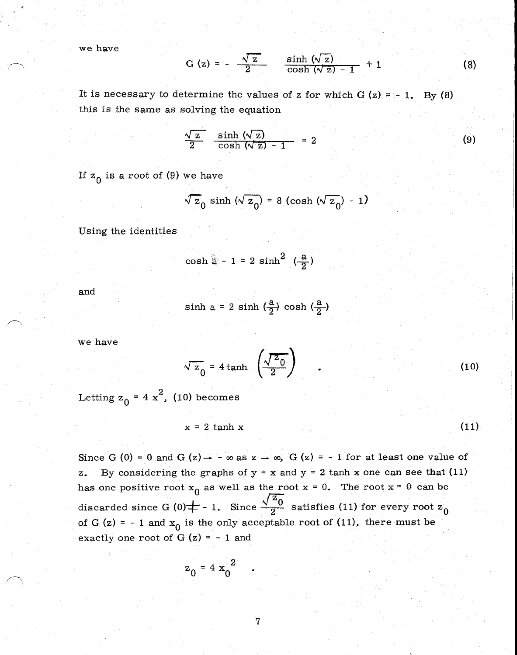we have

$$
G(z) = -\frac{\sqrt{z}}{2}
$$
  $\frac{\sinh (\sqrt{z})}{\cosh (\sqrt{z}) - 1} + 1$  (8)

It is necessary to determine the values of z for which  $G(z) = -1$ . By (8) this is the same as solving the equation

$$
\frac{\sqrt{z}}{2} \frac{\sinh(\sqrt{z})}{\cosh(\sqrt{z})-1} = 2
$$
 (9)

If  $z_0$  is a root of (9) we have

$$
\sqrt{z_0} \sinh(\sqrt{z_0}) = 8 (\cosh(\sqrt{z_0}) - 1)
$$

Using the identities

$$
\cosh \frac{a}{a} - 1 = 2 \sinh^2 \left( \frac{a}{2} \right)
$$

and

$$
\sinh a = 2 \sinh \left(\frac{a}{2}\right) \cosh \left(\frac{a}{2}\right)
$$

we have

$$
\sqrt{z_0} = 4 \tanh \left( \frac{\sqrt{z_0}}{2} \right) \quad .
$$

Letting  $z_0 = 4 x^2$ , (10) becomes

$$
x = 2 \tanh x \tag{11}
$$

Since G (0) = 0 and G (z)  $\rightarrow$  -  $\infty$  as z  $\rightarrow \infty$ , G (z) = - 1 for at least one value of z. By considering the graphs of  $y = x$  and  $y = 2$  tanh x one can see that (11) has one positive root  $x_0$  as well as the root  $x = 0$ . The root  $x = 0$  can be <br>Nrc substantiation of  $(0, +1)$  is Since  $\sqrt{\frac{z_0}{z_0}}$  substanting (11) for example  $z_0$ discarded since G (0)  $\neq$  - 1. Since  $\frac{\sqrt{z_0}}{2}$  satisfies (11) for every root  $z_0$ of G (z) = - 1 and  $x_0$  is the only acceptable root of (11), there must be exactly one root of G  $(z) = -1$  and

$$
z_0 = 4 x_0^2
$$

(10)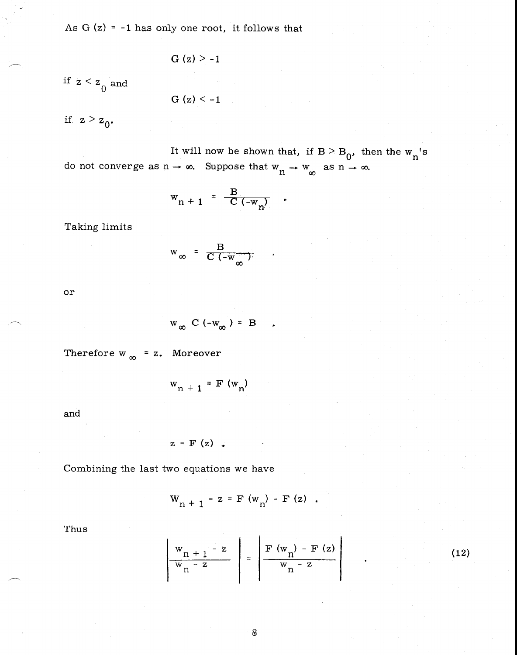As  $G(z) = -1$  has only one root, it follows that

$$
G(z) > -1
$$

if  $z < z$ <sup>0</sup> and

$$
G(z) < -1
$$

if  $z > z_0$ .

It will now be shown that, if  $B > B_0$ , then the w 's do not converge as  $n \to \infty$ . Suppose that  $w_n \to w_\infty$  as  $n \to \infty$ .

$$
W_{n+1} = \frac{B}{C(-W_n)}
$$

Taking limits

$$
w_{\infty} = \frac{B}{C(-w_{\infty})}
$$

or

$$
w_{\infty} C (-w_{\infty}) = B
$$

Therefore  $w_{\infty} = z$ . Moreover

 $w_{n + 1} = F(w_{n})$ 

and

$$
z = F(z) \quad .
$$

Combining the last two equations we have

$$
W_{n+1} - z = F(w_n) - F(z)
$$
.

Thus

$$
\frac{w_{n+1} - z}{w_{n} - z} = \frac{\mathbf{F}(w_{n}) - \mathbf{F}(z)}{w_{n} - z}
$$

(12)